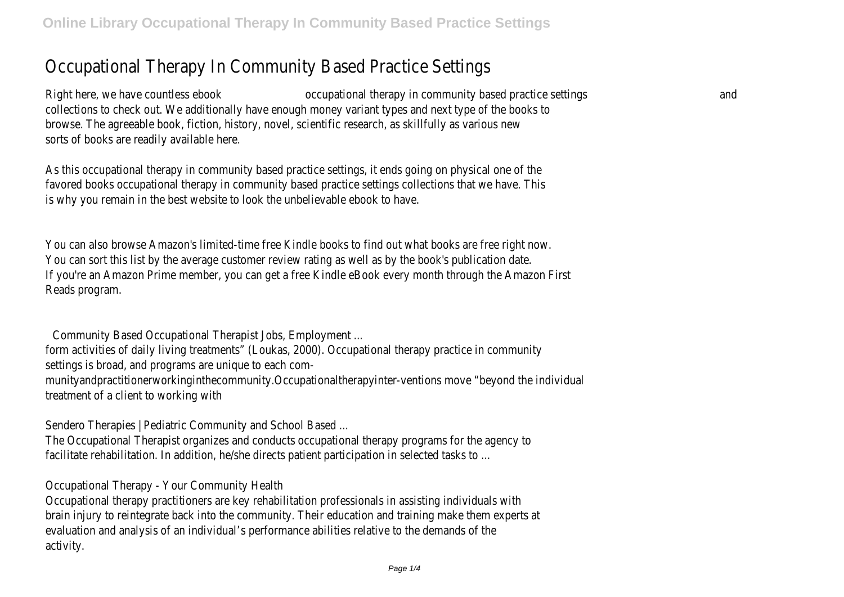## Occupational Therapy In Community Based Practice Settings

Right here, we have countless ebook occupational therapy in community based practice settings and collections to check out. We additionally have enough money variant types and next type of the books to browse. The agreeable book, fiction, history, novel, scientific research, as skillfully as various ney sorts of books are readily available here.

As this occupational therapy in community based practice settings, it ends going on physical one of the favored books occupational therapy in community based practice settings collections that we have. Th is why you remain in the best website to look the unbelievable ebook to have

You can also browse Amazon's limited-time free Kindle books to find out what books are free right now. You can sort this list by the average customer review rating as well as by the book's publication dat If you're an Amazon Prime member, you can get a free Kindle eBook every month through the Amazon First Reads program.

Community Based Occupational Therapist Jobs, Employment ...

form activities of daily living treatments" (Loukas, 2000). Occupational therapy practice in community settings is broad, and programs are unique to each com-

munityandpractitionerworkinginthecommunity.Occupationaltherapyinter-ventions move "beyond the individual treatment of a client to working with

Sendero Therapies | Pediatric Community and School Based ...

The Occupational Therapist organizes and conducts occupational therapy programs for the agency t facilitate rehabilitation. In addition, he/she directs patient participation in selected tasks to

Occupational Therapy - Your Community Health

Occupational therapy practitioners are key rehabilitation professionals in assisting individuals with brain injury to reintegrate back into the community. Their education and training make them experts at evaluation and analysis of an individual's performance abilities relative to the demands of the activity.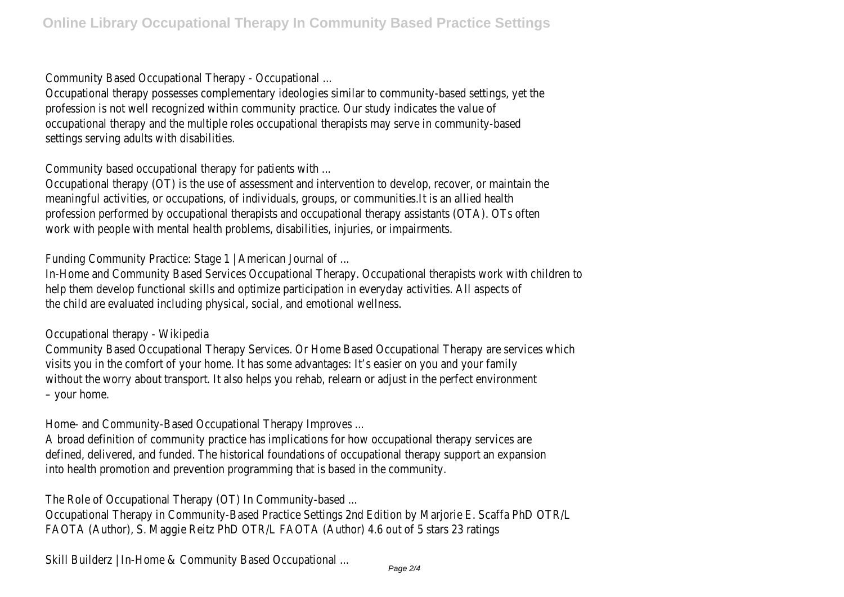Community Based Occupational Therapy - Occupational ...

Occupational therapy possesses complementary ideologies similar to community-based settings, yet the profession is not well recognized within community practice. Our study indicates the value of occupational therapy and the multiple roles occupational therapists may serve in community-base settings serving adults with disabilities.

Community based occupational therapy for patients with ...

Occupational therapy (OT) is the use of assessment and intervention to develop, recover, or maintain the meaningful activities, or occupations, of individuals, groups, or communities. It is an allied healt profession performed by occupational therapists and occupational therapy assistants (OTA). OTs ofte work with people with mental health problems, disabilities, injuries, or impairments.

Funding Community Practice: Stage 1 | American Journal of ...

In-Home and Community Based Services Occupational Therapy. Occupational therapists work with children to help them develop functional skills and optimize participation in everyday activities. All aspects of the child are evaluated including physical, social, and emotional wellness.

Occupational therapy - Wikipedia

Community Based Occupational Therapy Services. Or Home Based Occupational Therapy are services which visits you in the comfort of your home. It has some advantages: It's easier on you and your family without the worry about transport. It also helps you rehab, relearn or adjust in the perfect environment – your home.

Home- and Community-Based Occupational Therapy Improves ...

A broad definition of community practice has implications for how occupational therapy services are defined, delivered, and funded. The historical foundations of occupational therapy support an expansion into health promotion and prevention programming that is based in the community.

The Role of Occupational Therapy (OT) In Community-based ...

Occupational Therapy in Community-Based Practice Settings 2nd Edition by Marjorie E. Scaffa PhD OTR/L FAOTA (Author), S. Maggie Reitz PhD OTR/L FAOTA (Author) 4.6 out of 5 stars 23 ratings

Skill Builderz | In-Home & Community Based Occupational ...<br>Page 2/4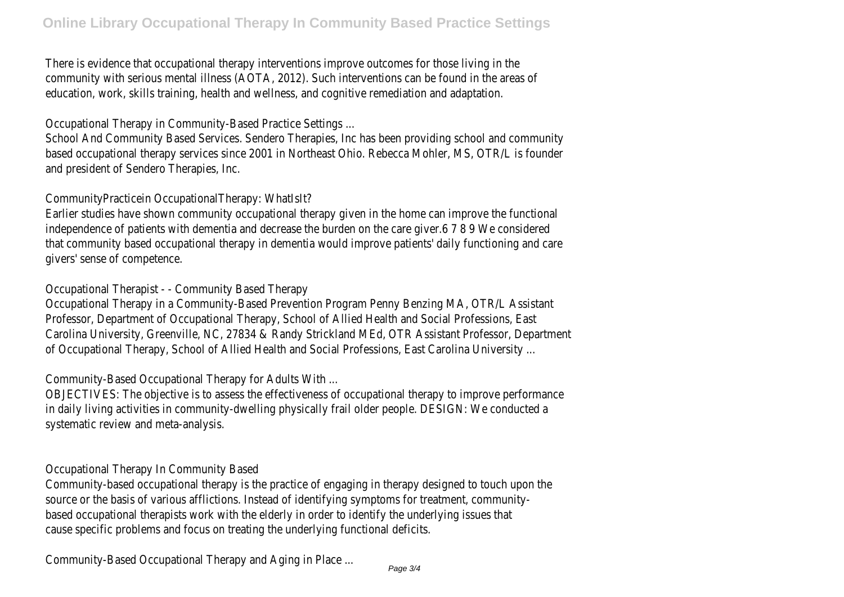There is evidence that occupational therapy interventions improve outcomes for those living in the community with serious mental illness (AOTA, 2012). Such interventions can be found in the areas of education, work, skills training, health and wellness, and cognitive remediation and adaptation.

Occupational Therapy in Community-Based Practice Settings ...

School And Community Based Services. Sendero Therapies, Inc has been providing school and community based occupational therapy services since 2001 in Northeast Ohio. Rebecca Mohler, MS, OTR/L is founder and president of Sendero Therapies, Inc.

CommunityPracticein OccupationalTherapy: WhatIsIt?

Earlier studies have shown community occupational therapy given in the home can improve the functional independence of patients with dementia and decrease the burden on the care giver.6 7 8 9 We considere that community based occupational therapy in dementia would improve patients' daily functioning and care givers' sense of competence.

Occupational Therapist - - Community Based Therapy

Occupational Therapy in a Community-Based Prevention Program Penny Benzing MA, OTR/L Assistant Professor, Department of Occupational Therapy, School of Allied Health and Social Professions, East Carolina University, Greenville, NC, 27834 & Randy Strickland MEd, OTR Assistant Professor, Department of Occupational Therapy, School of Allied Health and Social Professions, East Carolina University.

Community-Based Occupational Therapy for Adults With ...

OBJECTIVES: The objective is to assess the effectiveness of occupational therapy to improve performance in daily living activities in community-dwelling physically frail older people. DESIGN: We conducted systematic review and meta-analysis.

Occupational Therapy In Community Based

Community-based occupational therapy is the practice of engaging in therapy designed to touch upon the source or the basis of various afflictions. Instead of identifying symptoms for treatment, community based occupational therapists work with the elderly in order to identify the underlying issues that cause specific problems and focus on treating the underlying functional deficits.

Community-Based Occupational Therapy and Aging in Place ...<br>Page 3/4